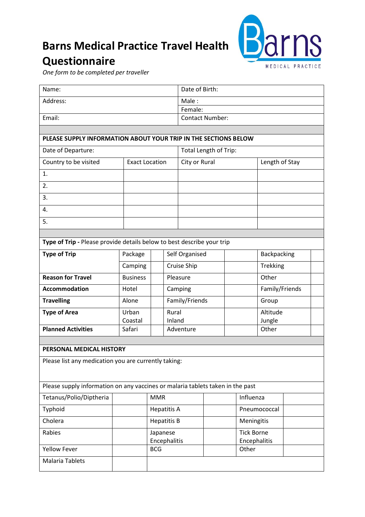## **Barns Medical Practice Travel Health Questionnaire**



*One form to be completed per traveller*

ř.

| Name:                                                                          |                        |                    | Date of Birth:               |           |                   |  |  |
|--------------------------------------------------------------------------------|------------------------|--------------------|------------------------------|-----------|-------------------|--|--|
| Address:                                                                       |                        |                    | Male:                        |           |                   |  |  |
|                                                                                |                        |                    | Female:                      |           |                   |  |  |
| Email:                                                                         | <b>Contact Number:</b> |                    |                              |           |                   |  |  |
|                                                                                |                        |                    |                              |           |                   |  |  |
| PLEASE SUPPLY INFORMATION ABOUT YOUR TRIP IN THE SECTIONS BELOW                |                        |                    |                              |           |                   |  |  |
| Date of Departure:                                                             |                        |                    | <b>Total Length of Trip:</b> |           |                   |  |  |
| Country to be visited                                                          | <b>Exact Location</b>  |                    | City or Rural                |           | Length of Stay    |  |  |
| 1.                                                                             |                        |                    |                              |           |                   |  |  |
| 2.                                                                             |                        |                    |                              |           |                   |  |  |
| 3.                                                                             |                        |                    |                              |           |                   |  |  |
| 4.                                                                             |                        |                    |                              |           |                   |  |  |
| 5.                                                                             |                        |                    |                              |           |                   |  |  |
|                                                                                |                        |                    |                              |           |                   |  |  |
| Type of Trip - Please provide details below to best describe your trip         |                        |                    |                              |           |                   |  |  |
| <b>Type of Trip</b>                                                            | Package                |                    | Self Organised               |           | Backpacking       |  |  |
|                                                                                | Camping                |                    | Cruise Ship                  |           | Trekking          |  |  |
| <b>Reason for Travel</b>                                                       | <b>Business</b>        |                    | Pleasure                     |           | Other             |  |  |
| <b>Accommodation</b>                                                           | Hotel                  |                    | Camping                      |           | Family/Friends    |  |  |
| <b>Travelling</b>                                                              | Alone                  |                    | Family/Friends               |           | Group             |  |  |
| <b>Type of Area</b>                                                            | Urban                  | Rural              |                              |           | Altitude          |  |  |
| <b>Planned Activities</b>                                                      | Coastal<br>Safari      |                    | Inland<br>Adventure          |           | Jungle<br>Other   |  |  |
|                                                                                |                        |                    |                              |           |                   |  |  |
| PERSONAL MEDICAL HISTORY                                                       |                        |                    |                              |           |                   |  |  |
| Please list any medication you are currently taking:                           |                        |                    |                              |           |                   |  |  |
|                                                                                |                        |                    |                              |           |                   |  |  |
| Please supply information on any vaccines or malaria tablets taken in the past |                        |                    |                              |           |                   |  |  |
| Tetanus/Polio/Diptheria                                                        |                        | <b>MMR</b>         |                              | Influenza |                   |  |  |
| Typhoid                                                                        |                        | <b>Hepatitis A</b> |                              |           | Pneumococcal      |  |  |
| Cholera                                                                        |                        | <b>Hepatitis B</b> |                              |           | Meningitis        |  |  |
| Rabies                                                                         |                        | Japanese           |                              |           | <b>Tick Borne</b> |  |  |
|                                                                                |                        | Encephalitis       |                              |           | Encephalitis      |  |  |
| <b>Yellow Fever</b>                                                            |                        | <b>BCG</b>         |                              | Other     |                   |  |  |
| <b>Malaria Tablets</b>                                                         |                        |                    |                              |           |                   |  |  |
|                                                                                |                        |                    |                              |           |                   |  |  |